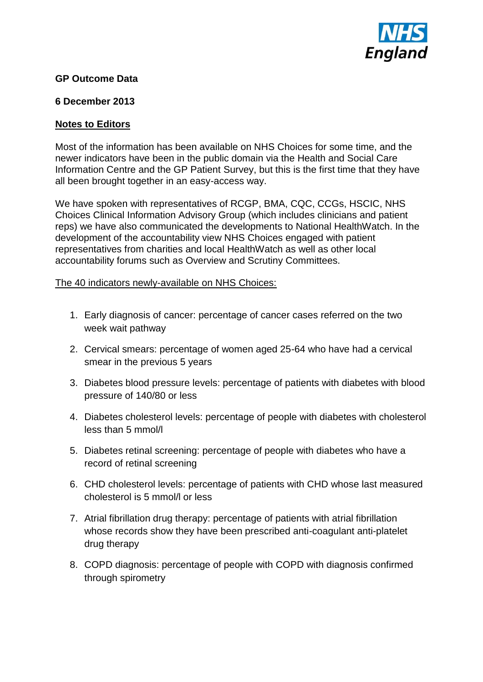

## **GP Outcome Data**

## **6 December 2013**

## **Notes to Editors**

Most of the information has been available on NHS Choices for some time, and the newer indicators have been in the public domain via the Health and Social Care Information Centre and the GP Patient Survey, but this is the first time that they have all been brought together in an easy-access way.

We have spoken with representatives of RCGP, BMA, CQC, CCGs, HSCIC, NHS Choices Clinical Information Advisory Group (which includes clinicians and patient reps) we have also communicated the developments to National HealthWatch. In the development of the accountability view NHS Choices engaged with patient representatives from charities and local HealthWatch as well as other local accountability forums such as Overview and Scrutiny Committees.

## The 40 indicators newly-available on NHS Choices:

- 1. Early diagnosis of cancer: percentage of cancer cases referred on the two week wait pathway
- 2. Cervical smears: percentage of women aged 25-64 who have had a cervical smear in the previous 5 years
- 3. Diabetes blood pressure levels: percentage of patients with diabetes with blood pressure of 140/80 or less
- 4. Diabetes cholesterol levels: percentage of people with diabetes with cholesterol less than 5 mmol/l
- 5. Diabetes retinal screening: percentage of people with diabetes who have a record of retinal screening
- 6. CHD cholesterol levels: percentage of patients with CHD whose last measured cholesterol is 5 mmol/l or less
- 7. Atrial fibrillation drug therapy: percentage of patients with atrial fibrillation whose records show they have been prescribed anti-coagulant anti-platelet drug therapy
- 8. COPD diagnosis: percentage of people with COPD with diagnosis confirmed through spirometry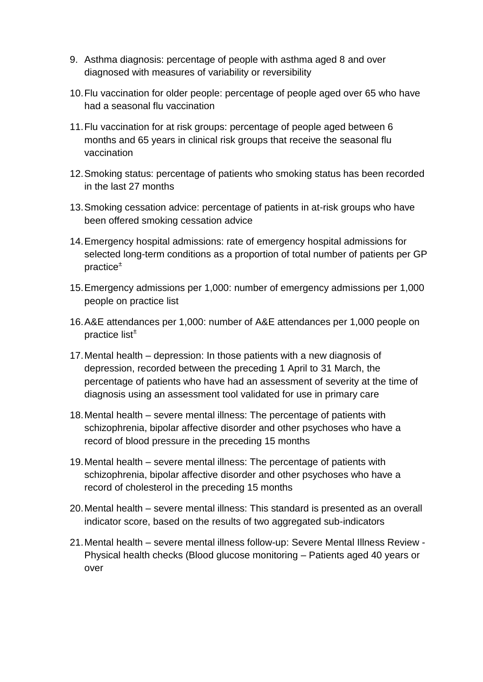- 9. Asthma diagnosis: percentage of people with asthma aged 8 and over diagnosed with measures of variability or reversibility
- 10.Flu vaccination for older people: percentage of people aged over 65 who have had a seasonal flu vaccination
- 11.Flu vaccination for at risk groups: percentage of people aged between 6 months and 65 years in clinical risk groups that receive the seasonal flu vaccination
- 12.Smoking status: percentage of patients who smoking status has been recorded in the last 27 months
- 13.Smoking cessation advice: percentage of patients in at-risk groups who have been offered smoking cessation advice
- 14.Emergency hospital admissions: rate of emergency hospital admissions for selected long-term conditions as a proportion of total number of patients per GP practice<sup>±</sup>
- 15.Emergency admissions per 1,000: number of emergency admissions per 1,000 people on practice list
- 16.A&E attendances per 1,000: number of A&E attendances per 1,000 people on practice list<sup>±</sup>
- 17.Mental health depression: In those patients with a new diagnosis of depression, recorded between the preceding 1 April to 31 March, the percentage of patients who have had an assessment of severity at the time of diagnosis using an assessment tool validated for use in primary care
- 18.Mental health severe mental illness: The percentage of patients with schizophrenia, bipolar affective disorder and other psychoses who have a record of blood pressure in the preceding 15 months
- 19.Mental health severe mental illness: The percentage of patients with schizophrenia, bipolar affective disorder and other psychoses who have a record of cholesterol in the preceding 15 months
- 20.Mental health severe mental illness: This standard is presented as an overall indicator score, based on the results of two aggregated sub-indicators
- 21.Mental health severe mental illness follow-up: Severe Mental Illness Review Physical health checks (Blood glucose monitoring – Patients aged 40 years or over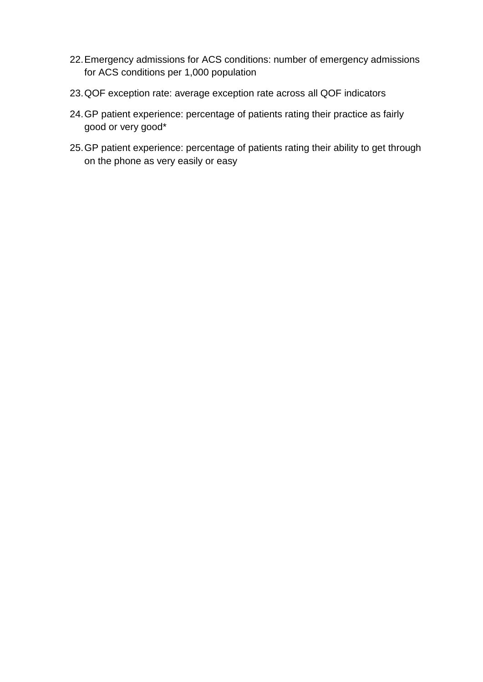- 22.Emergency admissions for ACS conditions: number of emergency admissions for ACS conditions per 1,000 population
- 23.QOF exception rate: average exception rate across all QOF indicators
- 24.GP patient experience: percentage of patients rating their practice as fairly good or very good\*
- 25.GP patient experience: percentage of patients rating their ability to get through on the phone as very easily or easy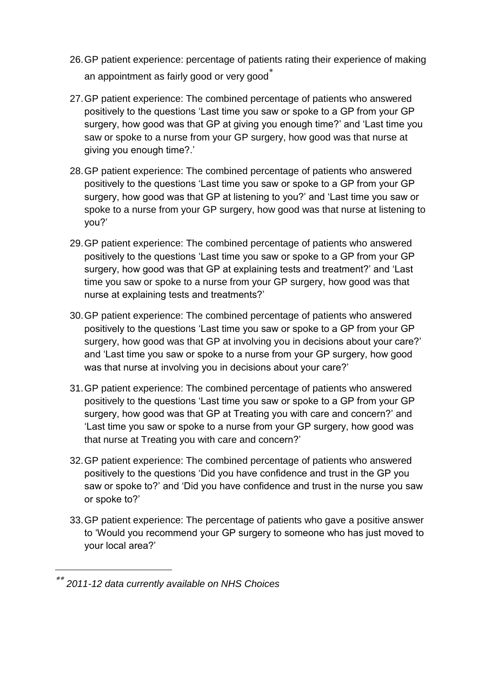- 26.GP patient experience: percentage of patients rating their experience of making an appointment as fairly good or very good
- 27.GP patient experience: The combined percentage of patients who answered positively to the questions 'Last time you saw or spoke to a GP from your GP surgery, how good was that GP at giving you enough time?' and 'Last time you saw or spoke to a nurse from your GP surgery, how good was that nurse at giving you enough time?.'
- 28.GP patient experience: The combined percentage of patients who answered positively to the questions 'Last time you saw or spoke to a GP from your GP surgery, how good was that GP at listening to you?' and 'Last time you saw or spoke to a nurse from your GP surgery, how good was that nurse at listening to you?'
- 29.GP patient experience: The combined percentage of patients who answered positively to the questions 'Last time you saw or spoke to a GP from your GP surgery, how good was that GP at explaining tests and treatment?' and 'Last time you saw or spoke to a nurse from your GP surgery, how good was that nurse at explaining tests and treatments?'
- 30.GP patient experience: The combined percentage of patients who answered positively to the questions 'Last time you saw or spoke to a GP from your GP surgery, how good was that GP at involving you in decisions about your care?' and 'Last time you saw or spoke to a nurse from your GP surgery, how good was that nurse at involving you in decisions about your care?'
- 31.GP patient experience: The combined percentage of patients who answered positively to the questions 'Last time you saw or spoke to a GP from your GP surgery, how good was that GP at Treating you with care and concern?' and 'Last time you saw or spoke to a nurse from your GP surgery, how good was that nurse at Treating you with care and concern?'
- 32.GP patient experience: The combined percentage of patients who answered positively to the questions 'Did you have confidence and trust in the GP you saw or spoke to?' and 'Did you have confidence and trust in the nurse you saw or spoke to?'
- 33.GP patient experience: The percentage of patients who gave a positive answer to 'Would you recommend your GP surgery to someone who has just moved to your local area?'

l

*2011-12 data currently available on NHS Choices*